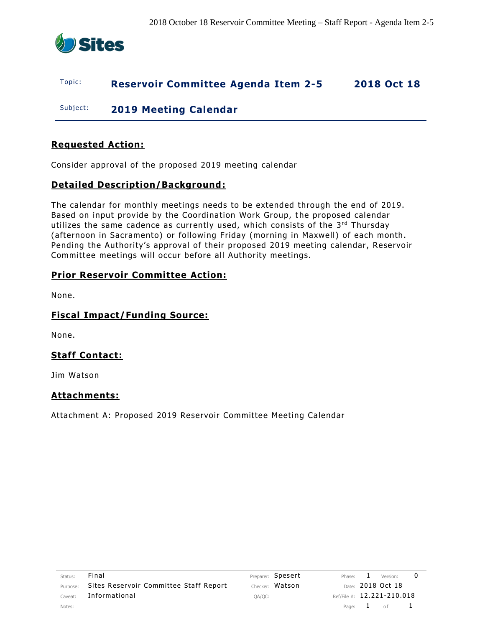

### Topic: **Reservoir Committee Agenda Item 2-5 2018 Oct 18**

Subject: **2019 Meeting Calendar**

#### **Requested Action:**

Consider approval of the proposed 2019 meeting calendar

#### **Detailed Description/Background:**

The calendar for monthly meetings needs to be extended through the end of 2019. Based on input provide by the Coordination Work Group, the proposed calendar utilizes the same cadence as currently used, which consists of the 3<sup>rd</sup> Thursday (afternoon in Sacramento) or following Friday (morning in Maxwell) of each month. Pending the Authority's approval of their proposed 2019 meeting calendar, Reservoir Committee meetings will occur before all Authority meetings.

#### **Prior Reservoir Committee Action:**

None.

#### **Fiscal Impact/Funding Source:**

None.

#### **Staff Contact:**

Jim Watson

#### **Attachments:**

Attachment A: Proposed 2019 Reservoir Committee Meeting Calendar